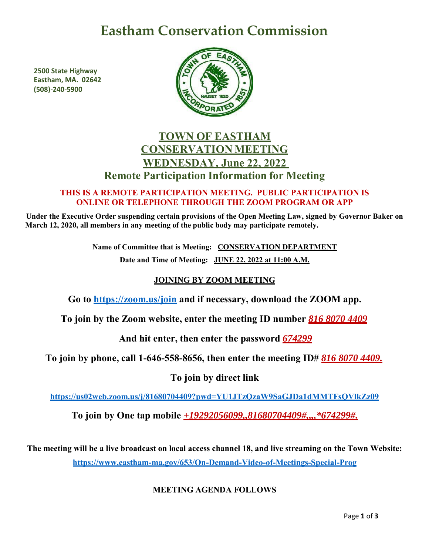# **Eastham Conservation Commission**

**2500 State Highway Eastham, MA. 02642 (508)-240-5900**



# **TOWN OF EASTHAM CONSERVATION MEETING WEDNESDAY, June 22, 2022 Remote Participation Information for Meeting**

#### **THIS IS A REMOTE PARTICIPATION MEETING. PUBLIC PARTICIPATION IS ONLINE OR TELEPHONE THROUGH THE ZOOM PROGRAM OR APP**

**Under the Executive Order suspending certain provisions of the Open Meeting Law, signed by Governor Baker on March 12, 2020, all members in any meeting of the public body may participate remotely.**

> **Name of Committee that is Meeting: CONSERVATION DEPARTMENT Date and Time of Meeting: JUNE 22, 2022 at 11:00 A.M.**

## **JOINING BY ZOOM MEETING**

**Go to<https://zoom.us/join> and if necessary, download the ZOOM app.**

**To join by the Zoom website, enter the meeting ID number** *816 8070 4409*

**And hit enter, then enter the password** *674299*

**To join by phone, call 1-646-558-8656, then enter the meeting ID#** *816 8070 4409.*

**To join by direct link**

**<https://us02web.zoom.us/j/81680704409?pwd=YU1JTzQzaW9SaGJDa1dMMTFsQVlkZz09>**

**To join by One tap mobile** *+19292056099,,81680704409#,,,,\*674299#.*

**The meeting will be a live broadcast on local access channel 18, and live streaming on the Town Website: <https://www.eastham-ma.gov/653/On-Demand-Video-of-Meetings-Special-Prog>**

### **MEETING AGENDA FOLLOWS**